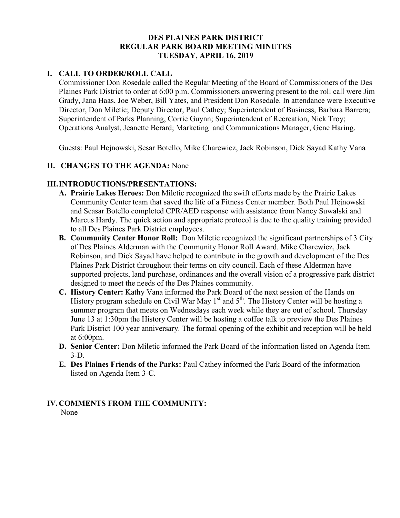### **DES PLAINES PARK DISTRICT REGULAR PARK BOARD MEETING MINUTES TUESDAY, APRIL 16, 2019**

## **I. CALL TO ORDER/ROLL CALL**

Commissioner Don Rosedale called the Regular Meeting of the Board of Commissioners of the Des Plaines Park District to order at 6:00 p.m. Commissioners answering present to the roll call were Jim Grady, Jana Haas, Joe Weber, Bill Yates, and President Don Rosedale. In attendance were Executive Director, Don Miletic; Deputy Director, Paul Cathey; Superintendent of Business, Barbara Barrera; Superintendent of Parks Planning, Corrie Guynn; Superintendent of Recreation, Nick Troy; Operations Analyst, Jeanette Berard; Marketing and Communications Manager, Gene Haring.

Guests: Paul Hejnowski, Sesar Botello, Mike Charewicz, Jack Robinson, Dick Sayad Kathy Vana

#### **II. CHANGES TO THE AGENDA:** None

#### **III.INTRODUCTIONS/PRESENTATIONS:**

- **A. Prairie Lakes Heroes:** Don Miletic recognized the swift efforts made by the Prairie Lakes Community Center team that saved the life of a Fitness Center member. Both Paul Hejnowski and Seasar Botello completed CPR/AED response with assistance from Nancy Suwalski and Marcus Hardy. The quick action and appropriate protocol is due to the quality training provided to all Des Plaines Park District employees.
- **B. Community Center Honor Roll:** Don Miletic recognized the significant partnerships of 3 City of Des Plaines Alderman with the Community Honor Roll Award. Mike Charewicz, Jack Robinson, and Dick Sayad have helped to contribute in the growth and development of the Des Plaines Park District throughout their terms on city council. Each of these Alderman have supported projects, land purchase, ordinances and the overall vision of a progressive park district designed to meet the needs of the Des Plaines community.
- **C. History Center:** Kathy Vana informed the Park Board of the next session of the Hands on History program schedule on Civil War May  $1<sup>st</sup>$  and  $5<sup>th</sup>$ . The History Center will be hosting a summer program that meets on Wednesdays each week while they are out of school. Thursday June 13 at 1:30pm the History Center will be hosting a coffee talk to preview the Des Plaines Park District 100 year anniversary. The formal opening of the exhibit and reception will be held at 6:00pm.
- **D. Senior Center:** Don Miletic informed the Park Board of the information listed on Agenda Item 3-D.
- **E. Des Plaines Friends of the Parks:** Paul Cathey informed the Park Board of the information listed on Agenda Item 3-C.

#### **IV.COMMENTS FROM THE COMMUNITY:**

None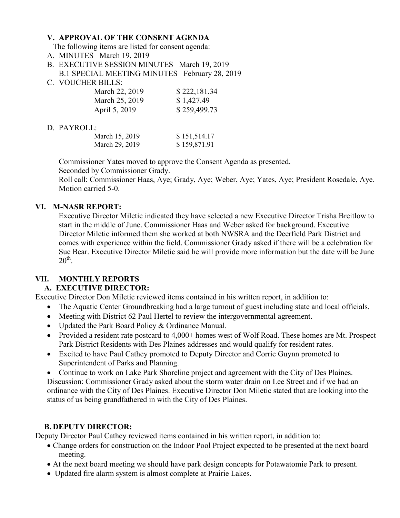#### **V. APPROVAL OF THE CONSENT AGENDA**

The following items are listed for consent agenda:

- A. MINUTES –March 19, 2019
- B. EXECUTIVE SESSION MINUTES– March 19, 2019 B.1 SPECIAL MEETING MINUTES– February 28, 2019
- C. VOUCHER BILLS:

| March 22, 2019 | \$222,181.34 |
|----------------|--------------|
| March 25, 2019 | \$1,427.49   |
| April 5, 2019  | \$259,499.73 |

#### D. PAYROLL:

| March 15, 2019 | \$151,514.17 |
|----------------|--------------|
| March 29, 2019 | \$159,871.91 |

Commissioner Yates moved to approve the Consent Agenda as presented.

Seconded by Commissioner Grady.

 Roll call: Commissioner Haas, Aye; Grady, Aye; Weber, Aye; Yates, Aye; President Rosedale, Aye. Motion carried 5-0.

#### **VI. M-NASR REPORT:**

Executive Director Miletic indicated they have selected a new Executive Director Trisha Breitlow to start in the middle of June. Commissioner Haas and Weber asked for background. Executive Director Miletic informed them she worked at both NWSRA and the Deerfield Park District and comes with experience within the field. Commissioner Grady asked if there will be a celebration for Sue Bear. Executive Director Miletic said he will provide more information but the date will be June  $20^{\text{th}}$ .

## **VII. MONTHLY REPORTS**

#### **A. EXECUTIVE DIRECTOR:**

Executive Director Don Miletic reviewed items contained in his written report, in addition to:

- The Aquatic Center Groundbreaking had a large turnout of guest including state and local officials.
- Meeting with District 62 Paul Hertel to review the intergovernmental agreement.
- Updated the Park Board Policy & Ordinance Manual.
- Provided a resident rate postcard to 4,000+ homes west of Wolf Road. These homes are Mt. Prospect Park District Residents with Des Plaines addresses and would qualify for resident rates.
- Excited to have Paul Cathey promoted to Deputy Director and Corrie Guynn promoted to Superintendent of Parks and Planning.

• Continue to work on Lake Park Shoreline project and agreement with the City of Des Plaines. Discussion: Commissioner Grady asked about the storm water drain on Lee Street and if we had an ordinance with the City of Des Plaines. Executive Director Don Miletic stated that are looking into the status of us being grandfathered in with the City of Des Plaines.

## **B. DEPUTY DIRECTOR:**

Deputy Director Paul Cathey reviewed items contained in his written report, in addition to:

- Change orders for construction on the Indoor Pool Project expected to be presented at the next board meeting.
- At the next board meeting we should have park design concepts for Potawatomie Park to present.
- Updated fire alarm system is almost complete at Prairie Lakes.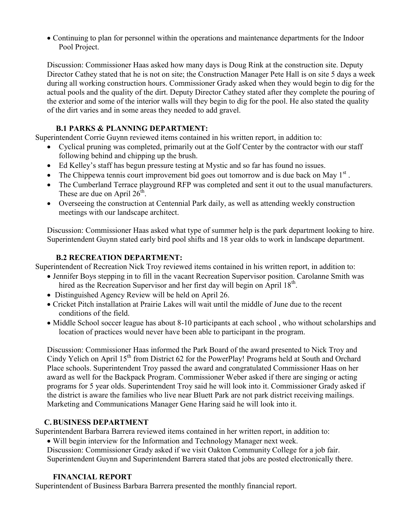Continuing to plan for personnel within the operations and maintenance departments for the Indoor Pool Project.

Discussion: Commissioner Haas asked how many days is Doug Rink at the construction site. Deputy Director Cathey stated that he is not on site; the Construction Manager Pete Hall is on site 5 days a week during all working construction hours. Commissioner Grady asked when they would begin to dig for the actual pools and the quality of the dirt. Deputy Director Cathey stated after they complete the pouring of the exterior and some of the interior walls will they begin to dig for the pool. He also stated the quality of the dirt varies and in some areas they needed to add gravel.

#### **B.1 PARKS & PLANNING DEPARTMENT:**

Superintendent Corrie Guynn reviewed items contained in his written report, in addition to:

- Cyclical pruning was completed, primarily out at the Golf Center by the contractor with our staff following behind and chipping up the brush.
- Ed Kelley's staff has begun pressure testing at Mystic and so far has found no issues.
- The Chippewa tennis court improvement bid goes out tomorrow and is due back on May  $1<sup>st</sup>$ .
- The Cumberland Terrace playground RFP was completed and sent it out to the usual manufacturers. These are due on April  $26^{\text{th}}$ .
- Overseeing the construction at Centennial Park daily, as well as attending weekly construction meetings with our landscape architect.

Discussion: Commissioner Haas asked what type of summer help is the park department looking to hire. Superintendent Guynn stated early bird pool shifts and 18 year olds to work in landscape department.

### **B.2 RECREATION DEPARTMENT:**

Superintendent of Recreation Nick Troy reviewed items contained in his written report, in addition to:

- Jennifer Boys stepping in to fill in the vacant Recreation Supervisor position. Carolanne Smith was hired as the Recreation Supervisor and her first day will begin on April 18<sup>th</sup>.
- Distinguished Agency Review will be held on April 26.
- Cricket Pitch installation at Prairie Lakes will wait until the middle of June due to the recent conditions of the field.
- Middle School soccer league has about 8-10 participants at each school , who without scholarships and location of practices would never have been able to participant in the program.

Discussion: Commissioner Haas informed the Park Board of the award presented to Nick Troy and Cindy Yelich on April 15<sup>th</sup> from District 62 for the PowerPlay! Programs held at South and Orchard Place schools. Superintendent Troy passed the award and congratulated Commissioner Haas on her award as well for the Backpack Program. Commissioner Weber asked if there are singing or acting programs for 5 year olds. Superintendent Troy said he will look into it. Commissioner Grady asked if the district is aware the families who live near Bluett Park are not park district receiving mailings. Marketing and Communications Manager Gene Haring said he will look into it.

#### **C.BUSINESS DEPARTMENT**

Superintendent Barbara Barrera reviewed items contained in her written report, in addition to:

Will begin interview for the Information and Technology Manager next week.

Discussion: Commissioner Grady asked if we visit Oakton Community College for a job fair. Superintendent Guynn and Superintendent Barrera stated that jobs are posted electronically there.

#### **FINANCIAL REPORT**

Superintendent of Business Barbara Barrera presented the monthly financial report.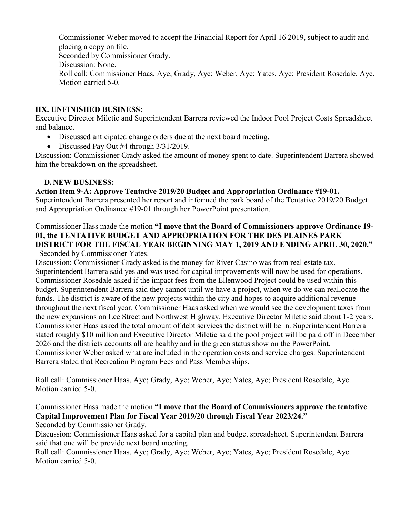Commissioner Weber moved to accept the Financial Report for April 16 2019, subject to audit and placing a copy on file. Seconded by Commissioner Grady. Discussion: None. Roll call: Commissioner Haas, Aye; Grady, Aye; Weber, Aye; Yates, Aye; President Rosedale, Aye. Motion carried 5-0.

#### **IIX. UNFINISHED BUSINESS:**

Executive Director Miletic and Superintendent Barrera reviewed the Indoor Pool Project Costs Spreadsheet and balance.

- Discussed anticipated change orders due at the next board meeting.
- Discussed Pay Out #4 through  $3/31/2019$ .

Discussion: Commissioner Grady asked the amount of money spent to date. Superintendent Barrera showed him the breakdown on the spreadsheet.

#### **D. NEW BUSINESS:**

**Action Item 9-A: Approve Tentative 2019/20 Budget and Appropriation Ordinance #19-01.**  Superintendent Barrera presented her report and informed the park board of the Tentative 2019/20 Budget and Appropriation Ordinance #19-01 through her PowerPoint presentation.

Commissioner Hass made the motion **"I move that the Board of Commissioners approve Ordinance 19- 01, the TENTATIVE BUDGET AND APPROPRIATION FOR THE DES PLAINES PARK DISTRICT FOR THE FISCAL YEAR BEGINNING MAY 1, 2019 AND ENDING APRIL 30, 2020."**  Seconded by Commissioner Yates.

Discussion: Commissioner Grady asked is the money for River Casino was from real estate tax. Superintendent Barrera said yes and was used for capital improvements will now be used for operations. Commissioner Rosedale asked if the impact fees from the Ellenwood Project could be used within this budget. Superintendent Barrera said they cannot until we have a project, when we do we can reallocate the funds. The district is aware of the new projects within the city and hopes to acquire additional revenue throughout the next fiscal year. Commissioner Haas asked when we would see the development taxes from the new expansions on Lee Street and Northwest Highway. Executive Director Miletic said about 1-2 years. Commissioner Haas asked the total amount of debt services the district will be in. Superintendent Barrera stated roughly \$10 million and Executive Director Miletic said the pool project will be paid off in December 2026 and the districts accounts all are healthy and in the green status show on the PowerPoint. Commissioner Weber asked what are included in the operation costs and service charges. Superintendent Barrera stated that Recreation Program Fees and Pass Memberships.

Roll call: Commissioner Haas, Aye; Grady, Aye; Weber, Aye; Yates, Aye; President Rosedale, Aye. Motion carried 5-0.

# Commissioner Hass made the motion **"I move that the Board of Commissioners approve the tentative Capital Improvement Plan for Fiscal Year 2019/20 through Fiscal Year 2023/24."**

Seconded by Commissioner Grady.

Discussion: Commissioner Haas asked for a capital plan and budget spreadsheet. Superintendent Barrera said that one will be provide next board meeting.

Roll call: Commissioner Haas, Aye; Grady, Aye; Weber, Aye; Yates, Aye; President Rosedale, Aye. Motion carried 5-0.